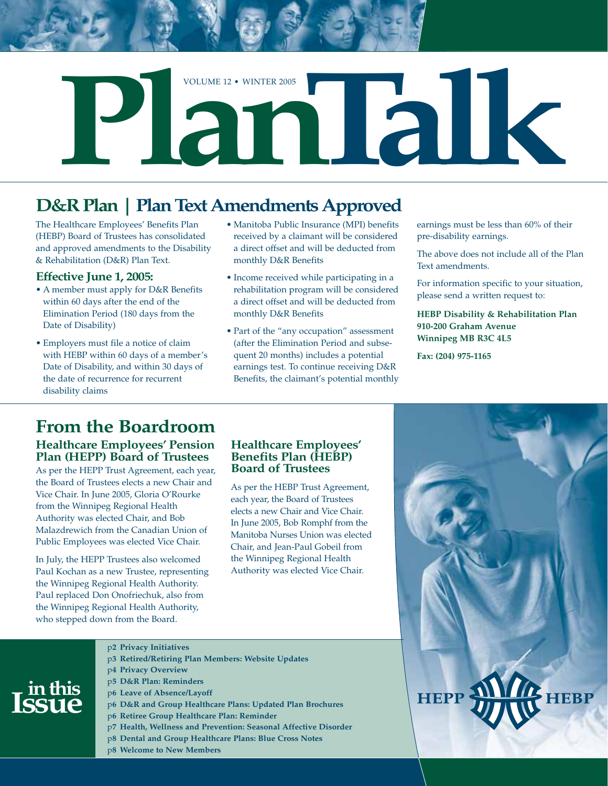

# **D&R Plan | Plan Text Amendments Approved**

The Healthcare Employees' Benefits Plan (HEBP) Board of Trustees has consolidated and approved amendments to the Disability & Rehabilitation (D&R) Plan Text.

#### **Effective June 1, 2005:**

- A member must apply for D&R Benefits within 60 days after the end of the Elimination Period (180 days from the Date of Disability)
- Employers must file a notice of claim with HEBP within 60 days of a member's Date of Disability, and within 30 days of the date of recurrence for recurrent disability claims
- Manitoba Public Insurance (MPI) benefits received by a claimant will be considered a direct offset and will be deducted from monthly D&R Benefits
- Income received while participating in a rehabilitation program will be considered a direct offset and will be deducted from monthly D&R Benefits
- Part of the "any occupation" assessment (after the Elimination Period and subsequent 20 months) includes a potential earnings test. To continue receiving D&R Benefits, the claimant's potential monthly

earnings must be less than 60% of their pre-disability earnings.

The above does not include all of the Plan Text amendments.

For information specific to your situation, please send a written request to:

**HEBP Disability & Rehabilitation Plan 910-200 Graham Avenue Winnipeg MB R3C 4L5**

**Fax: (204) 975-1165**

# **From the Boardroom**

## **Healthcare Employees' Pension Plan (HEPP) Board of Trustees**

As per the HEPP Trust Agreement, each year, the Board of Trustees elects a new Chair and Vice Chair. In June 2005, Gloria O'Rourke from the Winnipeg Regional Health Authority was elected Chair, and Bob Malazdrewich from the Canadian Union of Public Employees was elected Vice Chair.

In July, the HEPP Trustees also welcomed Paul Kochan as a new Trustee, representing the Winnipeg Regional Health Authority. Paul replaced Don Onofriechuk, also from the Winnipeg Regional Health Authority, who stepped down from the Board.

**in this Issue**

### **Healthcare Employees' Benefits Plan (HEBP) Board of Trustees**

As per the HEBP Trust Agreement, each year, the Board of Trustees elects a new Chair and Vice Chair. In June 2005, Bob Romphf from the Manitoba Nurses Union was elected Chair, and Jean-Paul Gobeil from the Winnipeg Regional Health Authority was elected Vice Chair.

#### p**2 Privacy Initiatives** p**3 Retired/Retiring Plan Members: Website Updates**

- p**4 Privacy Overview**
	- p**5 D&R Plan: Reminders**
	- p**6 Leave of Absence/Layoff**
	- p**6 D&R and Group Healthcare Plans: Updated Plan Brochures**
	- p**6 Retiree Group Healthcare Plan: Reminder**
	- p**7 Health, Wellness and Prevention: Seasonal Affective Disorder**
	- p**8 Dental and Group Healthcare Plans: Blue Cross Notes**
	- p**8 Welcome to New Members**

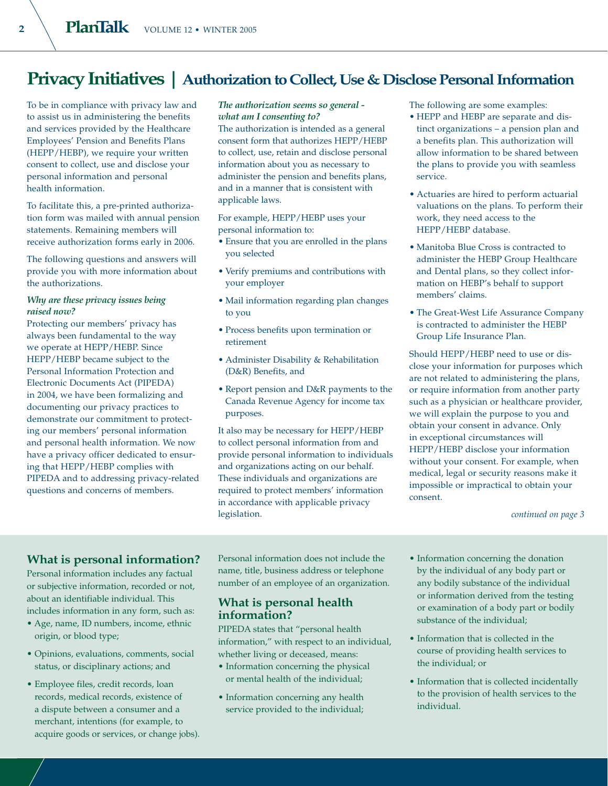# **Privacy Initiatives | Authorization to Collect, Use & Disclose Personal Information**

To be in compliance with privacy law and to assist us in administering the benefits and services provided by the Healthcare Employees' Pension and Benefits Plans (HEPP/HEBP), we require your written consent to collect, use and disclose your personal information and personal health information.

To facilitate this, a pre-printed authorization form was mailed with annual pension statements. Remaining members will receive authorization forms early in 2006.

The following questions and answers will provide you with more information about the authorizations.

#### *Why are these privacy issues being raised now?*

Protecting our members' privacy has always been fundamental to the way we operate at HEPP/HEBP. Since HEPP/HEBP became subject to the Personal Information Protection and Electronic Documents Act (PIPEDA) in 2004, we have been formalizing and documenting our privacy practices to demonstrate our commitment to protecting our members' personal information and personal health information. We now have a privacy officer dedicated to ensuring that HEPP/HEBP complies with PIPEDA and to addressing privacy-related questions and concerns of members.

### *The authorization seems so general what am I consenting to?*

The authorization is intended as a general consent form that authorizes HEPP/HEBP to collect, use, retain and disclose personal information about you as necessary to administer the pension and benefits plans, and in a manner that is consistent with applicable laws.

For example, HEPP/HEBP uses your personal information to:

- Ensure that you are enrolled in the plans you selected
- Verify premiums and contributions with your employer
- Mail information regarding plan changes to you
- Process benefits upon termination or retirement
- Administer Disability & Rehabilitation (D&R) Benefits, and
- Report pension and D&R payments to the Canada Revenue Agency for income tax purposes.

It also may be necessary for HEPP/HEBP to collect personal information from and provide personal information to individuals and organizations acting on our behalf. These individuals and organizations are required to protect members' information in accordance with applicable privacy legislation.

The following are some examples:

- HEPP and HEBP are separate and distinct organizations – a pension plan and a benefits plan. This authorization will allow information to be shared between the plans to provide you with seamless service.
- Actuaries are hired to perform actuarial valuations on the plans. To perform their work, they need access to the HEPP/HEBP database.
- Manitoba Blue Cross is contracted to administer the HEBP Group Healthcare and Dental plans, so they collect information on HEBP's behalf to support members' claims.
- The Great-West Life Assurance Company is contracted to administer the HEBP Group Life Insurance Plan.

Should HEPP/HEBP need to use or disclose your information for purposes which are not related to administering the plans, or require information from another party such as a physician or healthcare provider, we will explain the purpose to you and obtain your consent in advance. Only in exceptional circumstances will HEPP/HEBP disclose your information without your consent. For example, when medical, legal or security reasons make it impossible or impractical to obtain your consent.

*continued on page 3*

## **What is personal information?**

Personal information includes any factual or subjective information, recorded or not, about an identifiable individual. This includes information in any form, such as:

- Age, name, ID numbers, income, ethnic origin, or blood type;
- Opinions, evaluations, comments, social status, or disciplinary actions; and
- Employee files, credit records, loan records, medical records, existence of a dispute between a consumer and a merchant, intentions (for example, to acquire goods or services, or change jobs).

Personal information does not include the name, title, business address or telephone number of an employee of an organization.

## **What is personal health information?**

PIPEDA states that "personal health information," with respect to an individual, whether living or deceased, means:

- Information concerning the physical or mental health of the individual;
- Information concerning any health service provided to the individual;
- Information concerning the donation by the individual of any body part or any bodily substance of the individual or information derived from the testing or examination of a body part or bodily substance of the individual;
- Information that is collected in the course of providing health services to the individual; or
- Information that is collected incidentally to the provision of health services to the individual.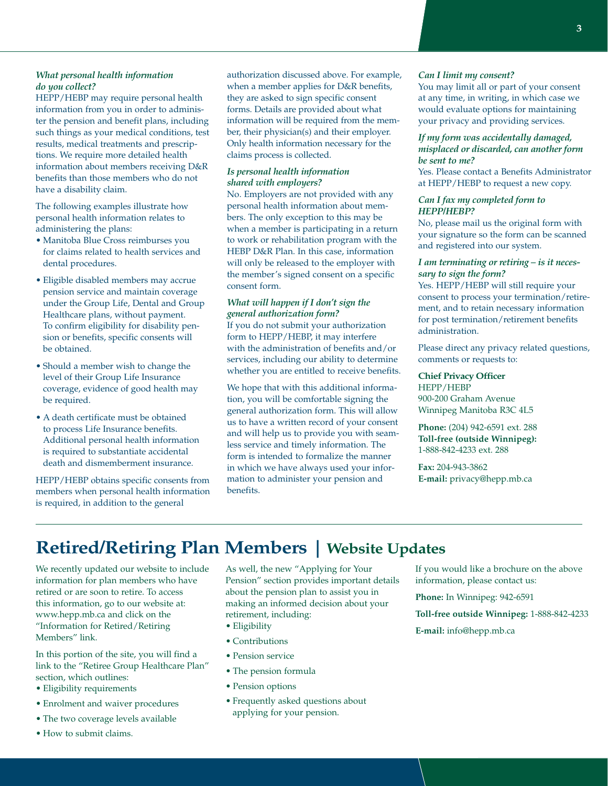#### *What personal health information do you collect?*

HEPP/HEBP may require personal health information from you in order to administer the pension and benefit plans, including such things as your medical conditions, test results, medical treatments and prescriptions. We require more detailed health information about members receiving D&R benefits than those members who do not have a disability claim.

The following examples illustrate how personal health information relates to administering the plans:

- Manitoba Blue Cross reimburses you for claims related to health services and dental procedures.
- Eligible disabled members may accrue pension service and maintain coverage under the Group Life, Dental and Group Healthcare plans, without payment. To confirm eligibility for disability pension or benefits, specific consents will be obtained.
- Should a member wish to change the level of their Group Life Insurance coverage, evidence of good health may be required.
- A death certificate must be obtained to process Life Insurance benefits. Additional personal health information is required to substantiate accidental death and dismemberment insurance.

HEPP/HEBP obtains specific consents from members when personal health information is required, in addition to the general

authorization discussed above. For example, when a member applies for D&R benefits, they are asked to sign specific consent forms. Details are provided about what information will be required from the member, their physician(s) and their employer. Only health information necessary for the claims process is collected.

#### *Is personal health information shared with employers?*

No. Employers are not provided with any personal health information about members. The only exception to this may be when a member is participating in a return to work or rehabilitation program with the HEBP D&R Plan. In this case, information will only be released to the employer with the member's signed consent on a specific consent form.

### *What will happen if I don't sign the general authorization form?*

If you do not submit your authorization form to HEPP/HEBP, it may interfere with the administration of benefits and/or services, including our ability to determine whether you are entitled to receive benefits.

We hope that with this additional information, you will be comfortable signing the general authorization form. This will allow us to have a written record of your consent and will help us to provide you with seamless service and timely information. The form is intended to formalize the manner in which we have always used your information to administer your pension and benefits.

#### *Can I limit my consent?*

You may limit all or part of your consent at any time, in writing, in which case we would evaluate options for maintaining your privacy and providing services.

#### *If my form was accidentally damaged, misplaced or discarded, can another form be sent to me?*

Yes. Please contact a Benefits Administrator at HEPP/HEBP to request a new copy.

#### *Can I fax my completed form to HEPP/HEBP?*

No, please mail us the original form with your signature so the form can be scanned and registered into our system.

#### *I am terminating or retiring – is it necessary to sign the form?*

Yes. HEPP/HEBP will still require your consent to process your termination/retirement, and to retain necessary information for post termination/retirement benefits administration.

Please direct any privacy related questions, comments or requests to:

### **Chief Privacy Officer**

HEPP/HEBP 900-200 Graham Avenue Winnipeg Manitoba R3C 4L5

**Phone:** (204) 942-6591 ext. 288 **Toll-free (outside Winnipeg):** 1-888-842-4233 ext. 288

**Fax:** 204-943-3862 **E-mail:** privacy@hepp.mb.ca

# **Retired/Retiring Plan Members | Website Updates**

We recently updated our website to include information for plan members who have retired or are soon to retire. To access this information, go to our website at: www.hepp.mb.ca and click on the "Information for Retired/Retiring Members" link.

In this portion of the site, you will find a link to the "Retiree Group Healthcare Plan" section, which outlines:

- Eligibility requirements
- Enrolment and waiver procedures
- The two coverage levels available
- How to submit claims.

As well, the new "Applying for Your Pension" section provides important details about the pension plan to assist you in making an informed decision about your retirement, including:

- Eligibility
- Contributions
- Pension service
- The pension formula
- Pension options
- Frequently asked questions about applying for your pension.

If you would like a brochure on the above information, please contact us:

**Phone:** In Winnipeg: 942-6591

**Toll-free outside Winnipeg:** 1-888-842-4233

**E-mail:** info@hepp.mb.ca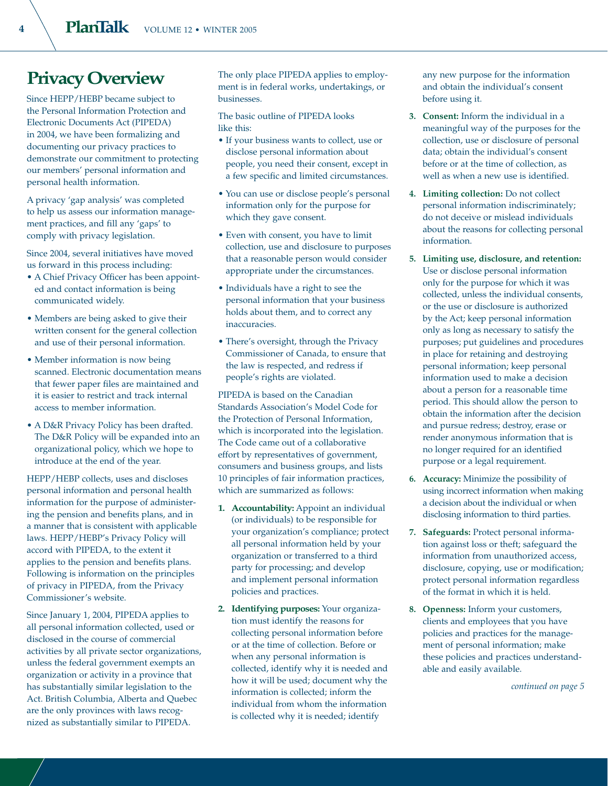## **Privacy Overview**

Since HEPP/HEBP became subject to the Personal Information Protection and Electronic Documents Act (PIPEDA) in 2004, we have been formalizing and documenting our privacy practices to demonstrate our commitment to protecting our members' personal information and personal health information.

A privacy 'gap analysis' was completed to help us assess our information management practices, and fill any 'gaps' to comply with privacy legislation.

Since 2004, several initiatives have moved us forward in this process including:

- A Chief Privacy Officer has been appointed and contact information is being communicated widely.
- Members are being asked to give their written consent for the general collection and use of their personal information.
- Member information is now being scanned. Electronic documentation means that fewer paper files are maintained and it is easier to restrict and track internal access to member information.
- A D&R Privacy Policy has been drafted. The D&R Policy will be expanded into an organizational policy, which we hope to introduce at the end of the year.

HEPP/HEBP collects, uses and discloses personal information and personal health information for the purpose of administering the pension and benefits plans, and in a manner that is consistent with applicable laws. HEPP/HEBP's Privacy Policy will accord with PIPEDA, to the extent it applies to the pension and benefits plans. Following is information on the principles of privacy in PIPEDA, from the Privacy Commissioner's website.

Since January 1, 2004, PIPEDA applies to all personal information collected, used or disclosed in the course of commercial activities by all private sector organizations, unless the federal government exempts an organization or activity in a province that has substantially similar legislation to the Act. British Columbia, Alberta and Quebec are the only provinces with laws recognized as substantially similar to PIPEDA.

The only place PIPEDA applies to employment is in federal works, undertakings, or businesses.

The basic outline of PIPEDA looks like this:

- If your business wants to collect, use or disclose personal information about people, you need their consent, except in a few specific and limited circumstances.
- You can use or disclose people's personal information only for the purpose for which they gave consent.
- Even with consent, you have to limit collection, use and disclosure to purposes that a reasonable person would consider appropriate under the circumstances.
- Individuals have a right to see the personal information that your business holds about them, and to correct any inaccuracies.
- There's oversight, through the Privacy Commissioner of Canada, to ensure that the law is respected, and redress if people's rights are violated.

PIPEDA is based on the Canadian Standards Association's Model Code for the Protection of Personal Information, which is incorporated into the legislation. The Code came out of a collaborative effort by representatives of government, consumers and business groups, and lists 10 principles of fair information practices, which are summarized as follows:

- **1. Accountability:** Appoint an individual (or individuals) to be responsible for your organization's compliance; protect all personal information held by your organization or transferred to a third party for processing; and develop and implement personal information policies and practices.
- **2. Identifying purposes:** Your organization must identify the reasons for collecting personal information before or at the time of collection. Before or when any personal information is collected, identify why it is needed and how it will be used; document why the information is collected; inform the individual from whom the information is collected why it is needed; identify

any new purpose for the information and obtain the individual's consent before using it.

- **3. Consent:** Inform the individual in a meaningful way of the purposes for the collection, use or disclosure of personal data; obtain the individual's consent before or at the time of collection, as well as when a new use is identified.
- **4. Limiting collection:** Do not collect personal information indiscriminately; do not deceive or mislead individuals about the reasons for collecting personal information.
- **5. Limiting use, disclosure, and retention:** Use or disclose personal information only for the purpose for which it was collected, unless the individual consents, or the use or disclosure is authorized by the Act; keep personal information only as long as necessary to satisfy the purposes; put guidelines and procedures in place for retaining and destroying personal information; keep personal information used to make a decision about a person for a reasonable time period. This should allow the person to obtain the information after the decision and pursue redress; destroy, erase or render anonymous information that is no longer required for an identified purpose or a legal requirement.
- **6. Accuracy:** Minimize the possibility of using incorrect information when making a decision about the individual or when disclosing information to third parties.
- **7. Safeguards:** Protect personal information against loss or theft; safeguard the information from unauthorized access, disclosure, copying, use or modification; protect personal information regardless of the format in which it is held.
- **8. Openness:** Inform your customers, clients and employees that you have policies and practices for the management of personal information; make these policies and practices understandable and easily available.

*continued on page 5*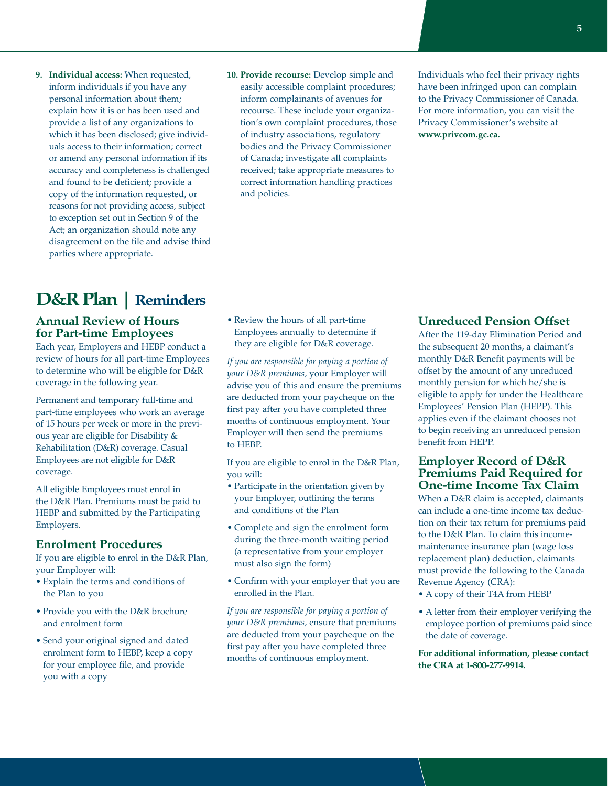- **9. Individual access:** When requested, inform individuals if you have any personal information about them; explain how it is or has been used and provide a list of any organizations to which it has been disclosed; give individuals access to their information; correct or amend any personal information if its accuracy and completeness is challenged and found to be deficient; provide a copy of the information requested, or reasons for not providing access, subject to exception set out in Section 9 of the Act; an organization should note any disagreement on the file and advise third parties where appropriate.
- **10. Provide recourse:** Develop simple and easily accessible complaint procedures; inform complainants of avenues for recourse. These include your organization's own complaint procedures, those of industry associations, regulatory bodies and the Privacy Commissioner of Canada; investigate all complaints received; take appropriate measures to correct information handling practices and policies.

Individuals who feel their privacy rights have been infringed upon can complain to the Privacy Commissioner of Canada. For more information, you can visit the Privacy Commissioner's website at **www.privcom.gc.ca.**

# **D&R Plan | Reminders**

### **Annual Review of Hours for Part-time Employees**

Each year, Employers and HEBP conduct a review of hours for all part-time Employees to determine who will be eligible for D&R coverage in the following year.

Permanent and temporary full-time and part-time employees who work an average of 15 hours per week or more in the previous year are eligible for Disability & Rehabilitation (D&R) coverage. Casual Employees are not eligible for D&R coverage.

All eligible Employees must enrol in the D&R Plan. Premiums must be paid to HEBP and submitted by the Participating Employers.

## **Enrolment Procedures**

If you are eligible to enrol in the D&R Plan, your Employer will:

- Explain the terms and conditions of the Plan to you
- Provide you with the D&R brochure and enrolment form
- Send your original signed and dated enrolment form to HEBP, keep a copy for your employee file, and provide you with a copy

• Review the hours of all part-time Employees annually to determine if they are eligible for D&R coverage.

*If you are responsible for paying a portion of your D&R premiums,* your Employer will advise you of this and ensure the premiums are deducted from your paycheque on the first pay after you have completed three months of continuous employment. Your Employer will then send the premiums to HEBP.

If you are eligible to enrol in the D&R Plan, you will:

- Participate in the orientation given by your Employer, outlining the terms and conditions of the Plan
- Complete and sign the enrolment form during the three-month waiting period (a representative from your employer must also sign the form)
- Confirm with your employer that you are enrolled in the Plan.

*If you are responsible for paying a portion of your D&R premiums,* ensure that premiums are deducted from your paycheque on the first pay after you have completed three months of continuous employment.

## **Unreduced Pension Offset**

After the 119-day Elimination Period and the subsequent 20 months, a claimant's monthly D&R Benefit payments will be offset by the amount of any unreduced monthly pension for which he/she is eligible to apply for under the Healthcare Employees' Pension Plan (HEPP). This applies even if the claimant chooses not to begin receiving an unreduced pension benefit from HEPP.

## **Employer Record of D&R Premiums Paid Required for One-time Income Tax Claim**

When a D&R claim is accepted, claimants can include a one-time income tax deduction on their tax return for premiums paid to the D&R Plan. To claim this incomemaintenance insurance plan (wage loss replacement plan) deduction, claimants must provide the following to the Canada Revenue Agency (CRA):

- A copy of their T4A from HEBP
- A letter from their employer verifying the employee portion of premiums paid since the date of coverage.

**For additional information, please contact the CRA at 1-800-277-9914.**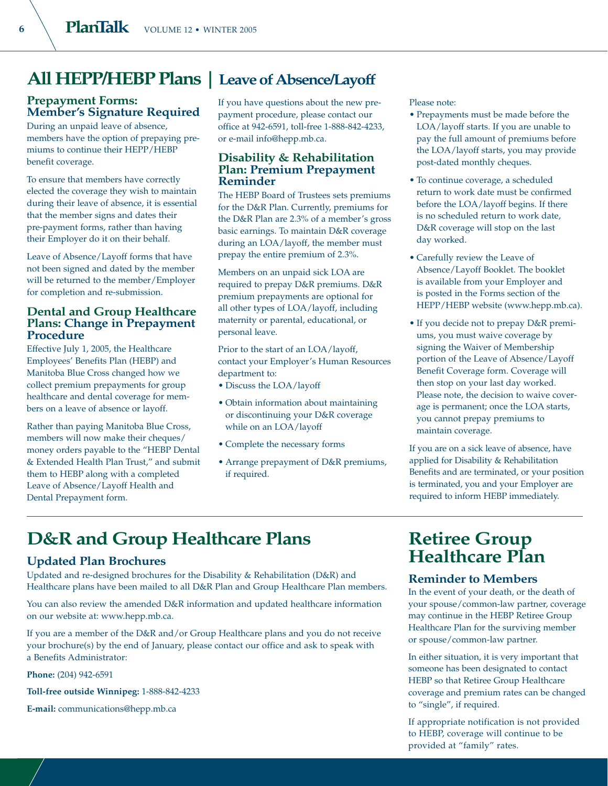## **All HEPP/HEBP Plans | Leave of Absence/Layoff**

## **Prepayment Forms: Member's Signature Required**

During an unpaid leave of absence, members have the option of prepaying premiums to continue their HEPP/HEBP benefit coverage.

To ensure that members have correctly elected the coverage they wish to maintain during their leave of absence, it is essential that the member signs and dates their pre-payment forms, rather than having their Employer do it on their behalf.

Leave of Absence/Layoff forms that have not been signed and dated by the member will be returned to the member/Employer for completion and re-submission.

## **Dental and Group Healthcare Plans: Change in Prepayment Procedure**

Effective July 1, 2005, the Healthcare Employees' Benefits Plan (HEBP) and Manitoba Blue Cross changed how we collect premium prepayments for group healthcare and dental coverage for members on a leave of absence or layoff.

Rather than paying Manitoba Blue Cross, members will now make their cheques/ money orders payable to the "HEBP Dental & Extended Health Plan Trust," and submit them to HEBP along with a completed Leave of Absence/Layoff Health and Dental Prepayment form.

If you have questions about the new prepayment procedure, please contact our office at 942-6591, toll-free 1-888-842-4233, or e-mail info@hepp.mb.ca.

## **Disability & Rehabilitation Plan: Premium Prepayment Reminder**

The HEBP Board of Trustees sets premiums for the D&R Plan. Currently, premiums for the D&R Plan are 2.3% of a member's gross basic earnings. To maintain D&R coverage during an LOA/layoff, the member must prepay the entire premium of 2.3%.

Members on an unpaid sick LOA are required to prepay D&R premiums. D&R premium prepayments are optional for all other types of LOA/layoff, including maternity or parental, educational, or personal leave.

Prior to the start of an LOA/layoff, contact your Employer's Human Resources department to:

- Discuss the LOA/layoff
- Obtain information about maintaining or discontinuing your D&R coverage while on an LOA/layoff
- Complete the necessary forms
- Arrange prepayment of D&R premiums, if required.

Please note:

- Prepayments must be made before the LOA/layoff starts. If you are unable to pay the full amount of premiums before the LOA/layoff starts, you may provide post-dated monthly cheques.
- To continue coverage, a scheduled return to work date must be confirmed before the LOA/layoff begins. If there is no scheduled return to work date, D&R coverage will stop on the last day worked.
- Carefully review the Leave of Absence/Layoff Booklet. The booklet is available from your Employer and is posted in the Forms section of the HEPP/HEBP website (www.hepp.mb.ca).
- If you decide not to prepay D&R premiums, you must waive coverage by signing the Waiver of Membership portion of the Leave of Absence/Layoff Benefit Coverage form. Coverage will then stop on your last day worked. Please note, the decision to waive coverage is permanent; once the LOA starts, you cannot prepay premiums to maintain coverage.

If you are on a sick leave of absence, have applied for Disability & Rehabilitation Benefits and are terminated, or your position is terminated, you and your Employer are required to inform HEBP immediately.

# **D&R and Group Healthcare Plans**

## **Updated Plan Brochures**

Updated and re-designed brochures for the Disability & Rehabilitation (D&R) and Healthcare plans have been mailed to all D&R Plan and Group Healthcare Plan members.

You can also review the amended D&R information and updated healthcare information on our website at: www.hepp.mb.ca.

If you are a member of the D&R and/or Group Healthcare plans and you do not receive your brochure(s) by the end of January, please contact our office and ask to speak with a Benefits Administrator:

**Phone:** (204) 942-6591

**Toll-free outside Winnipeg:** 1-888-842-4233

**E-mail:** communications@hepp.mb.ca

## **Retiree Group Healthcare Plan**

## **Reminder to Members**

In the event of your death, or the death of your spouse/common-law partner, coverage may continue in the HEBP Retiree Group Healthcare Plan for the surviving member or spouse/common-law partner.

In either situation, it is very important that someone has been designated to contact HEBP so that Retiree Group Healthcare coverage and premium rates can be changed to "single", if required.

If appropriate notification is not provided to HEBP, coverage will continue to be provided at "family" rates.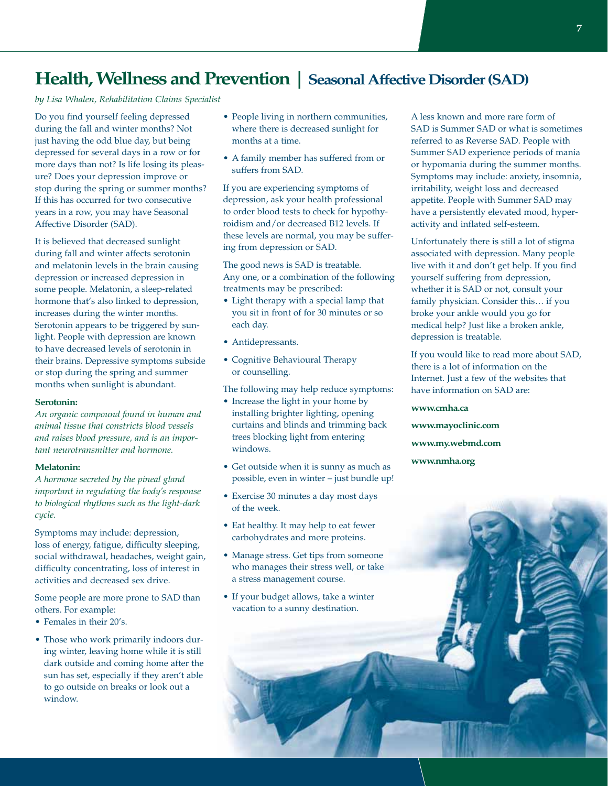# **Health, Wellness and Prevention | Seasonal Affective Disorder (SAD)**

*by Lisa Whalen, Rehabilitation Claims Specialist*

Do you find yourself feeling depressed during the fall and winter months? Not just having the odd blue day, but being depressed for several days in a row or for more days than not? Is life losing its pleasure? Does your depression improve or stop during the spring or summer months? If this has occurred for two consecutive years in a row, you may have Seasonal Affective Disorder (SAD).

It is believed that decreased sunlight during fall and winter affects serotonin and melatonin levels in the brain causing depression or increased depression in some people. Melatonin, a sleep-related hormone that's also linked to depression, increases during the winter months. Serotonin appears to be triggered by sunlight. People with depression are known to have decreased levels of serotonin in their brains. Depressive symptoms subside or stop during the spring and summer months when sunlight is abundant.

#### **Serotonin:**

*An organic compound found in human and animal tissue that constricts blood vessels and raises blood pressure, and is an important neurotransmitter and hormone.*

#### **Melatonin:**

*A hormone secreted by the pineal gland important in regulating the body's response to biological rhythms such as the light-dark cycle.*

Symptoms may include: depression, loss of energy, fatigue, difficulty sleeping, social withdrawal, headaches, weight gain, difficulty concentrating, loss of interest in activities and decreased sex drive.

Some people are more prone to SAD than others. For example:

- Females in their 20's.
- Those who work primarily indoors during winter, leaving home while it is still dark outside and coming home after the sun has set, especially if they aren't able to go outside on breaks or look out a window.
- People living in northern communities, where there is decreased sunlight for months at a time.
- A family member has suffered from or suffers from SAD.

If you are experiencing symptoms of depression, ask your health professional to order blood tests to check for hypothyroidism and/or decreased B12 levels. If these levels are normal, you may be suffering from depression or SAD.

The good news is SAD is treatable. Any one, or a combination of the following treatments may be prescribed:

- Light therapy with a special lamp that you sit in front of for 30 minutes or so each day.
- Antidepressants.
- Cognitive Behavioural Therapy or counselling.

The following may help reduce symptoms:

- Increase the light in your home by installing brighter lighting, opening curtains and blinds and trimming back trees blocking light from entering windows.
- Get outside when it is sunny as much as possible, even in winter – just bundle up!
- Exercise 30 minutes a day most days of the week.
- Eat healthy. It may help to eat fewer carbohydrates and more proteins.
- Manage stress. Get tips from someone who manages their stress well, or take a stress management course.
- If your budget allows, take a winter vacation to a sunny destination.

A less known and more rare form of SAD is Summer SAD or what is sometimes referred to as Reverse SAD. People with Summer SAD experience periods of mania or hypomania during the summer months. Symptoms may include: anxiety, insomnia, irritability, weight loss and decreased appetite. People with Summer SAD may have a persistently elevated mood, hyperactivity and inflated self-esteem.

Unfortunately there is still a lot of stigma associated with depression. Many people live with it and don't get help. If you find yourself suffering from depression, whether it is SAD or not, consult your family physician. Consider this… if you broke your ankle would you go for medical help? Just like a broken ankle, depression is treatable.

If you would like to read more about SAD, there is a lot of information on the Internet. Just a few of the websites that have information on SAD are:

**www.cmha.ca**

- **www.mayoclinic.com**
- **www.my.webmd.com**
- **www.nmha.org**